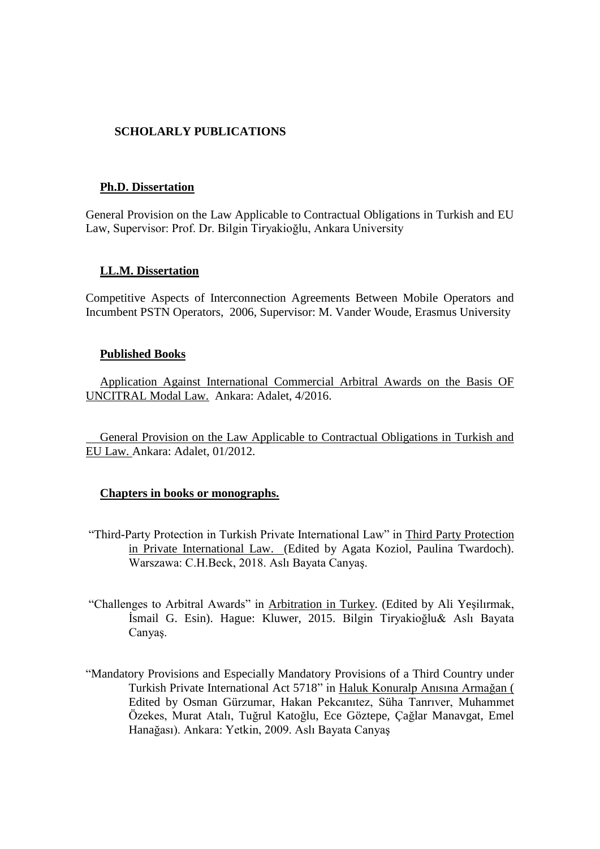# **SCHOLARLY PUBLICATIONS**

#### **Ph.D. Dissertation**

General Provision on the Law Applicable to Contractual Obligations in Turkish and EU Law, Supervisor: Prof. Dr. Bilgin Tiryakioğlu, Ankara University

## **LL.M. Dissertation**

Competitive Aspects of Interconnection Agreements Between Mobile Operators and Incumbent PSTN Operators, 2006, Supervisor: M. Vander Woude, Erasmus University

#### **Published Books**

Application Against International Commercial Arbitral Awards on the Basis OF UNCITRAL Modal Law. Ankara: Adalet, 4/2016.

General Provision on the Law Applicable to Contractual Obligations in Turkish and EU Law. Ankara: Adalet, 01/2012.

## **Chapters in books or monographs.**

- "Third-Party Protection in Turkish Private International Law" in Third Party Protection in Private International Law. (Edited by Agata Koziol, Paulina Twardoch). Warszawa: C.H.Beck, 2018. Aslı Bayata Canyaş.
- "Challenges to Arbitral Awards" in Arbitration in Turkey. (Edited by Ali Yeşilırmak, İsmail G. Esin). Hague: Kluwer, 2015. Bilgin Tiryakioğlu& Aslı Bayata Canyaş.
- "Mandatory Provisions and Especially Mandatory Provisions of a Third Country under Turkish Private International Act 5718" in Haluk Konuralp Anısına Armağan ( Edited by Osman Gürzumar, Hakan Pekcanıtez, Süha Tanrıver, Muhammet Özekes, Murat Atalı, Tuğrul Katoğlu, Ece Göztepe, Çağlar Manavgat, Emel Hanağası). Ankara: Yetkin, 2009. Aslı Bayata Canyaş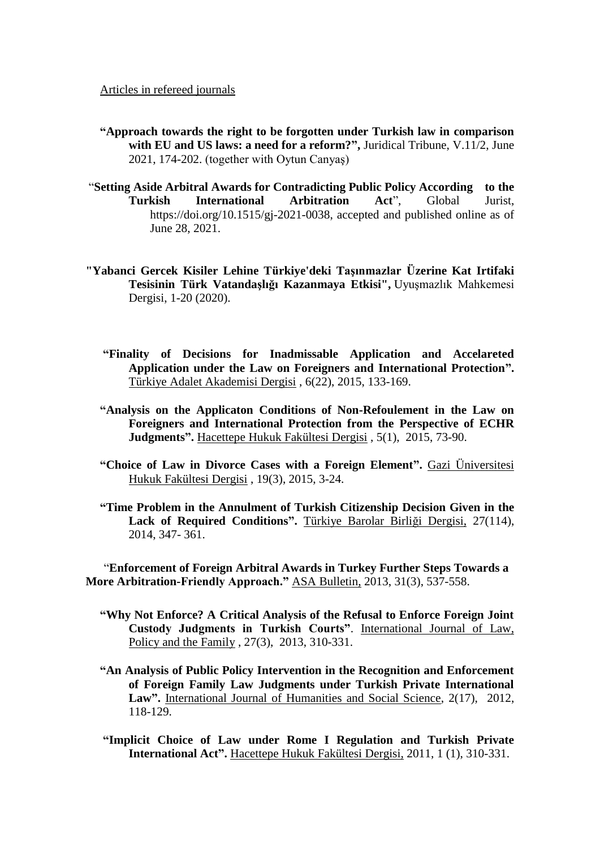Articles in refereed journals

- **"Approach towards the right to be forgotten under Turkish law in comparison with EU and US laws: a need for a reform?",** Juridical Tribune, V.11/2, June 2021, 174-202. (together with Oytun Canyaş)
- "**[Setting Aside Arbitral Awards for Contradicting Public Policy According to the](../Downloads/Setting%20Aside%20Arbitral%20Awards%20for%20Contradicting%20Public%20Policy%20According%20%09to%20the%20Turkish%20International%20Arbitration%20Act)  [Turkish International Arbitration Act](../Downloads/Setting%20Aside%20Arbitral%20Awards%20for%20Contradicting%20Public%20Policy%20According%20%09to%20the%20Turkish%20International%20Arbitration%20Act)**", Global Jurist, [https://doi.org/10.1515/gj-2021-0038,](https://doi.org/10.1515/gj-2021-0038) accepted and published online as of June 28, 2021.
- **"Yabanci Gercek Kisiler Lehine Türkiye'deki Taşınmazlar Üzerine Kat Irtifaki Tesisinin Türk Vatandaşlığı Kazanmaya Etkisi",** Uyuşmazlık Mahkemesi Dergisi, 1-20 (2020).
	- **"Finality of Decisions for Inadmissable Application and Accelareted Application under the Law on Foreigners and International Protection".** Türkiye Adalet Akademisi Dergisi , 6(22), 2015, 133-169.
	- **"Analysis on the Applicaton Conditions of Non-Refoulement in the Law on Foreigners and International Protection from the Perspective of ECHR Judgments".** Hacettepe Hukuk Fakültesi Dergisi , 5(1), 2015, 73-90.
	- **"Choice of Law in Divorce Cases with a Foreign Element".** Gazi Üniversitesi Hukuk Fakültesi Dergisi , 19(3), 2015, 3-24.
	- **"Time Problem in the Annulment of Turkish Citizenship Decision Given in the Lack of Required Conditions".** Türkiye Barolar Birliği Dergisi, 27(114), 2014, 347- 361.

 "**Enforcement of Foreign Arbitral Awards in Turkey Further Steps Towards a More Arbitration-Friendly Approach."** ASA Bulletin, 2013, 31(3), 537-558.

- **"Why Not Enforce? A Critical Analysis of the Refusal to Enforce Foreign Joint Custody Judgments in Turkish Courts"**. International Journal of Law, Policy and the Family , 27(3), 2013, 310-331.
- **"An Analysis of Public Policy Intervention in the Recognition and Enforcement of Foreign Family Law Judgments under Turkish Private International**  Law". International Journal of Humanities and Social Science, 2(17), 2012, 118-129.
- **"Implicit Choice of Law under Rome I Regulation and Turkish Private International Act".** Hacettepe Hukuk Fakültesi Dergisi, 2011, 1 (1), 310-331.